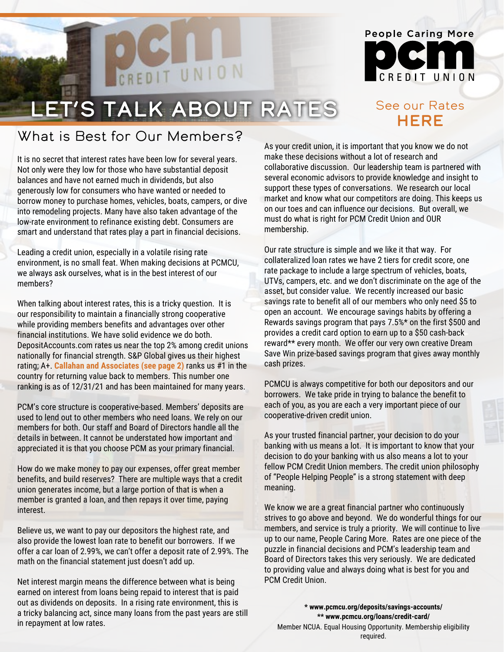

### See our Rates **HERE**

# Let's talk about Rates

CREDIT UNION

## What is Best for Our Members?

It is no secret that interest rates have been low for several years. Not only were they low for those who have substantial deposit balances and have not earned much in dividends, but also generously low for consumers who have wanted or needed to borrow money to purchase homes, vehicles, boats, campers, or dive into remodeling projects. Many have also taken advantage of the low-rate environment to refinance existing debt. Consumers are smart and understand that rates play a part in financial decisions.

Leading a credit union, especially in a volatile rising rate environment, is no small feat. When making decisions at PCMCU, we always ask ourselves, what is in the best interest of our members?

When talking about interest rates, this is a tricky question. It is our responsibility to maintain a financially strong cooperative while providing members benefits and advantages over other financial institutions. We have solid evidence we do both. DepositAccounts.com rates us near the top 2% among credit unions nationally for financial strength. S&P Global gives us their highest rating; A+. **Callahan and Associates (see page 2)** ranks us #1 in the country for returning value back to members. This number one ranking is as of 12/31/21 and has been maintained for many years.

PCM's core structure is cooperative-based. Members' deposits are used to lend out to other members who need loans. We rely on our members for both. Our staff and Board of Directors handle all the details in between. It cannot be understated how important and appreciated it is that you choose PCM as your primary financial.

How do we make money to pay our expenses, offer great member benefits, and build reserves? There are multiple ways that a credit union generates income, but a large portion of that is when a member is granted a loan, and then repays it over time, paying interest.

Believe us, we want to pay our depositors the highest rate, and also provide the lowest loan rate to benefit our borrowers. If we offer a car loan of 2.99%, we can't offer a deposit rate of 2.99%. The math on the financial statement just doesn't add up.

Net interest margin means the difference between what is being earned on interest from loans being repaid to interest that is paid out as dividends on deposits. In a rising rate environment, this is a tricky balancing act, since many loans from the past years are still in repayment at low rates.

As your credit union, it is important that you know we do not make these decisions without a lot of research and collaborative discussion. Our leadership team is partnered with several economic advisors to provide knowledge and insight to support these types of conversations. We research our local market and know what our competitors are doing. This keeps us on our toes and can influence our decisions. But overall, we must do what is right for PCM Credit Union and OUR membership.

Our rate structure is simple and we like it that way. For collateralized loan rates we have 2 tiers for credit score, one rate package to include a large spectrum of vehicles, boats, UTVs, campers, etc. and we don't discriminate on the age of the asset, but consider value. We recently increased our basic savings rate to benefit all of our members who only need \$5 to open an account. We encourage savings habits by offering a Rewards savings program that pays 7.5%\* on the first \$500 and provides a credit card option to earn up to a \$50 cash-back reward\*\* every month. We offer our very own creative Dream Save Win prize-based savings program that gives away monthly cash prizes.

PCMCU is always competitive for both our depositors and our borrowers. We take pride in trying to balance the benefit to each of you, as you are each a very important piece of our cooperative-driven credit union.

As your trusted financial partner, your decision to do your banking with us means a lot. It is important to know that your decision to do your banking with us also means a lot to your fellow PCM Credit Union members. The credit union philosophy of "People Helping People" is a strong statement with deep meaning.

We know we are a great financial partner who continuously strives to go above and beyond. We do wonderful things for our members, and service is truly a priority. We will continue to live up to our name, People Caring More. Rates are one piece of the puzzle in financial decisions and PCM's leadership team and Board of Directors takes this very seriously. We are dedicated to providin[g value and always doing what is best](https://pcmcu.org/deposits/savings-accounts/) for you and PCM Credit Union.

**\* www.pcmcu.org/deposits/savings-accounts/ [\\*\\* www.pcmcu.org/loans/credit-card/](https://pcmcu.org/loans/credit-card/)** Member NCUA. Equal Housing Opportunity. Membership eligibility required.